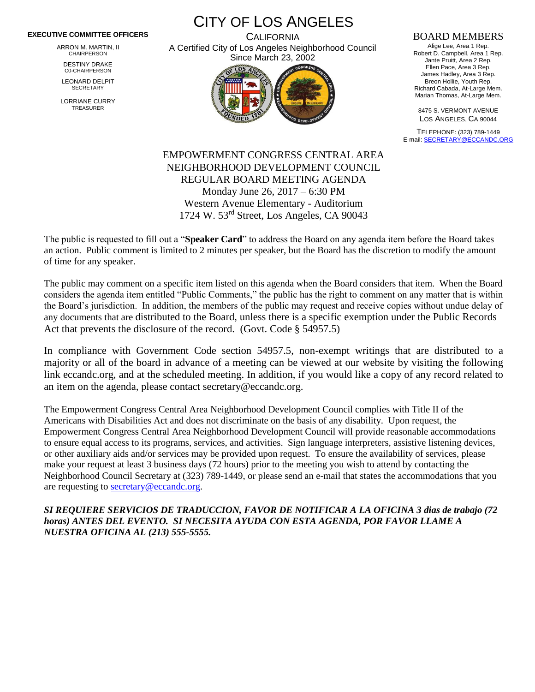## **EXECUTIVE COMMITTEE OFFICERS**

ARRON M. MARTIN, II CHAIRPERSON

DESTINY DRAKE C0-CHAIRPERSON

LEONARD DELPIT **SECRETARY** 

LORRIANE CURRY TREASURER

CITY OF LOS ANGELES **CALIFORNIA** 

A Certified City of Los Angeles Neighborhood Council Since March 23, 2002



## BOARD MEMBERS

Alige Lee, Area 1 Rep. Robert D. Campbell, Area 1 Rep. Jante Pruitt, Area 2 Rep. Ellen Pace, Area 3 Rep. James Hadley, Area 3 Rep. Breon Hollie, Youth Rep. Richard Cabada, At-Large Mem. Marian Thomas, At-Large Mem.

8475 S. VERMONT AVENUE LOS ANGELES, CA 90044

TELEPHONE: (323) 789-1449 E-mail[: SECRETARY@ECCANDC.ORG](mailto:SECRETARY@ECCANDC.ORG)

EMPOWERMENT CONGRESS CENTRAL AREA NEIGHBORHOOD DEVELOPMENT COUNCIL REGULAR BOARD MEETING AGENDA Monday June 26, 2017 – 6:30 PM Western Avenue Elementary - Auditorium 1724 W. 53rd Street, Los Angeles, CA 90043

The public is requested to fill out a "**Speaker Card**" to address the Board on any agenda item before the Board takes an action. Public comment is limited to 2 minutes per speaker, but the Board has the discretion to modify the amount of time for any speaker.

The public may comment on a specific item listed on this agenda when the Board considers that item. When the Board considers the agenda item entitled "Public Comments," the public has the right to comment on any matter that is within the Board's jurisdiction. In addition, the members of the public may request and receive copies without undue delay of any documents that are distributed to the Board, unless there is a specific exemption under the Public Records Act that prevents the disclosure of the record. (Govt. Code § 54957.5)

In compliance with Government Code section 54957.5, non-exempt writings that are distributed to a majority or all of the board in advance of a meeting can be viewed at our website by visiting the following link eccandc.org, and at the scheduled meeting. In addition, if you would like a copy of any record related to an item on the agenda, please contact secretary@eccandc.org.

The Empowerment Congress Central Area Neighborhood Development Council complies with Title II of the Americans with Disabilities Act and does not discriminate on the basis of any disability. Upon request, the Empowerment Congress Central Area Neighborhood Development Council will provide reasonable accommodations to ensure equal access to its programs, services, and activities. Sign language interpreters, assistive listening devices, or other auxiliary aids and/or services may be provided upon request. To ensure the availability of services, please make your request at least 3 business days (72 hours) prior to the meeting you wish to attend by contacting the Neighborhood Council Secretary at (323) 789-1449, or please send an e-mail that states the accommodations that you are requesting to [secretary@eccandc.org.](mailto:secretary@eccandc.org)

*SI REQUIERE SERVICIOS DE TRADUCCION, FAVOR DE NOTIFICAR A LA OFICINA 3 dias de trabajo (72 horas) ANTES DEL EVENTO. SI NECESITA AYUDA CON ESTA AGENDA, POR FAVOR LLAME A NUESTRA OFICINA AL (213) 555-5555.*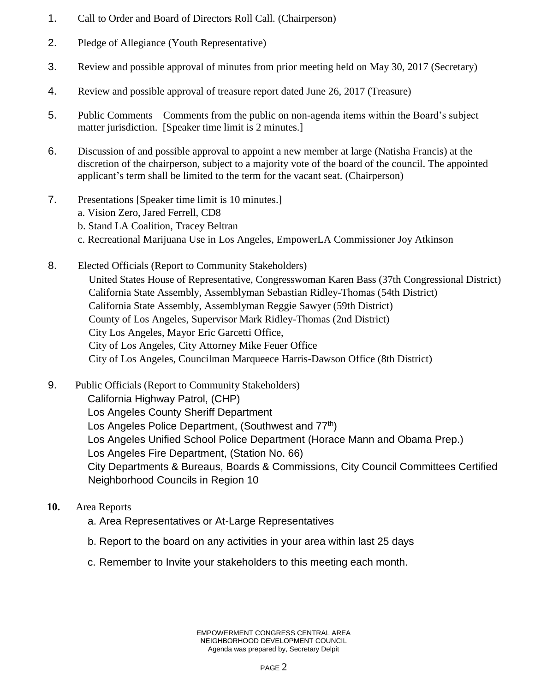- 1. Call to Order and Board of Directors Roll Call. (Chairperson)
- 2. Pledge of Allegiance (Youth Representative)
- 3. Review and possible approval of minutes from prior meeting held on May 30, 2017 (Secretary)
- 4. Review and possible approval of treasure report dated June 26, 2017 (Treasure)
- 5. Public Comments Comments from the public on non-agenda items within the Board's subject matter jurisdiction. [Speaker time limit is 2 minutes.]
- 6. Discussion of and possible approval to appoint a new member at large (Natisha Francis) at the discretion of the chairperson, subject to a majority vote of the board of the council. The appointed applicant's term shall be limited to the term for the vacant seat. (Chairperson)
- 7. Presentations [Speaker time limit is 10 minutes.]
	- a. Vision Zero, Jared Ferrell, CD8
	- b. Stand LA Coalition, Tracey Beltran
	- c. Recreational Marijuana Use in Los Angeles, EmpowerLA Commissioner Joy Atkinson
- 8. Elected Officials (Report to Community Stakeholders) United States House of Representative, Congresswoman Karen Bass (37th Congressional District) California State Assembly, Assemblyman Sebastian Ridley-Thomas (54th District) California State Assembly, Assemblyman Reggie Sawyer (59th District) County of Los Angeles, Supervisor Mark Ridley-Thomas (2nd District) City Los Angeles, Mayor Eric Garcetti Office, City of Los Angeles, City Attorney Mike Feuer Office City of Los Angeles, Councilman Marqueece Harris-Dawson Office (8th District)
- 9. Public Officials (Report to Community Stakeholders) California Highway Patrol, (CHP) Los Angeles County Sheriff Department Los Angeles Police Department, (Southwest and 77<sup>th</sup>) Los Angeles Unified School Police Department (Horace Mann and Obama Prep.) Los Angeles Fire Department, (Station No. 66) City Departments & Bureaus, Boards & Commissions, City Council Committees Certified Neighborhood Councils in Region 10
- **10.** Area Reports
	- a. Area Representatives or At-Large Representatives
	- b. Report to the board on any activities in your area within last 25 days
	- c. Remember to Invite your stakeholders to this meeting each month.